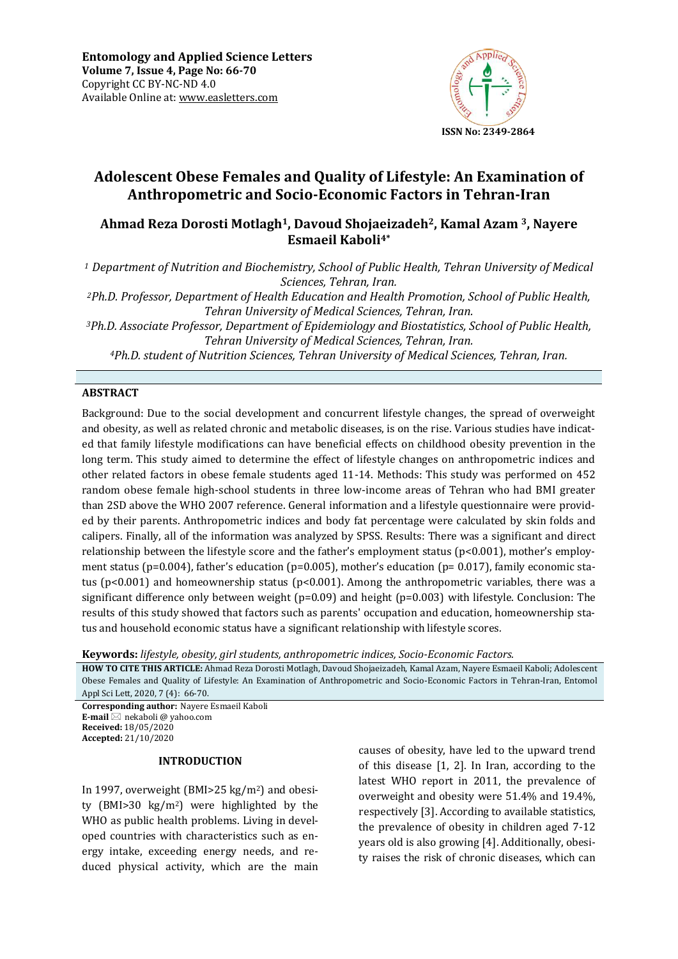

# **Adolescent Obese Females and Quality of Lifestyle: An Examination of Anthropometric and Socio-Economic Factors in Tehran-Iran**

## **Ahmad Reza Dorosti Motlagh1, Davoud Shojaeizadeh2, Kamal Azam 3, Nayere Esmaeil Kaboli4\***

*<sup>1</sup> Department of Nutrition and Biochemistry, School of Public Health, Tehran University of Medical Sciences, Tehran, Iran.* 

*<sup>2</sup>Ph.D. Professor, Department of Health Education and Health Promotion, School of Public Health, Tehran University of Medical Sciences, Tehran, Iran.* 

*<sup>3</sup>Ph.D. Associate Professor, Department of Epidemiology and Biostatistics, School of Public Health, Tehran University of Medical Sciences, Tehran, Iran.* 

*<sup>4</sup>Ph.D. student of Nutrition Sciences, Tehran University of Medical Sciences, Tehran, Iran.* 

## **ABSTRACT**

Background: Due to the social development and concurrent lifestyle changes, the spread of overweight and obesity, as well as related chronic and metabolic diseases, is on the rise. Various studies have indicated that family lifestyle modifications can have beneficial effects on childhood obesity prevention in the long term. This study aimed to determine the effect of lifestyle changes on anthropometric indices and other related factors in obese female students aged 11-14. Methods: This study was performed on 452 random obese female high-school students in three low-income areas of Tehran who had BMI greater than 2SD above the WHO 2007 reference. General information and a lifestyle questionnaire were provided by their parents. Anthropometric indices and body fat percentage were calculated by skin folds and calipers. Finally, all of the information was analyzed by SPSS. Results: There was a significant and direct relationship between the lifestyle score and the father's employment status (p<0.001), mother's employment status (p=0.004), father's education (p=0.005), mother's education (p= 0.017), family economic status (p<0.001) and homeownership status (p<0.001). Among the anthropometric variables, there was a significant difference only between weight (p=0.09) and height (p=0.003) with lifestyle. Conclusion: The results of this study showed that factors such as parents' occupation and education, homeownership status and household economic status have a significant relationship with lifestyle scores*.*

**Keywords:** *lifestyle, obesity, girl students, anthropometric indices, Socio-Economic Factors.*

**HOW TO CITE THIS ARTICLE:** Ahmad Reza Dorosti Motlagh, Davoud Shojaeizadeh, Kamal Azam, Nayere Esmaeil Kaboli; Adolescent Obese Females and Quality of Lifestyle: An Examination of Anthropometric and Socio-Economic Factors in Tehran-Iran, Entomol Appl Sci Lett, 2020, 7 (4): 66-70.

**Corresponding author:** Nayere Esmaeil Kaboli **E-mail** ⊠ nekaboli @ yahoo.com **Received:** 18/05/2020 **Accepted:** 21/10/2020

#### **INTRODUCTION**

In 1997, overweight (BMI>25 kg/m2) and obesity (BMI>30 kg/m2) were highlighted by the WHO as public health problems. Living in developed countries with characteristics such as energy intake, exceeding energy needs, and reduced physical activity, which are the main

causes of obesity, have led to the upward trend of this disease [1, 2]. In Iran, according to the latest WHO report in 2011, the prevalence of overweight and obesity were 51.4% and 19.4%, respectively [3]. According to available statistics, the prevalence of obesity in children aged 7-12 years old is also growing [4]. Additionally, obesity raises the risk of chronic diseases, which can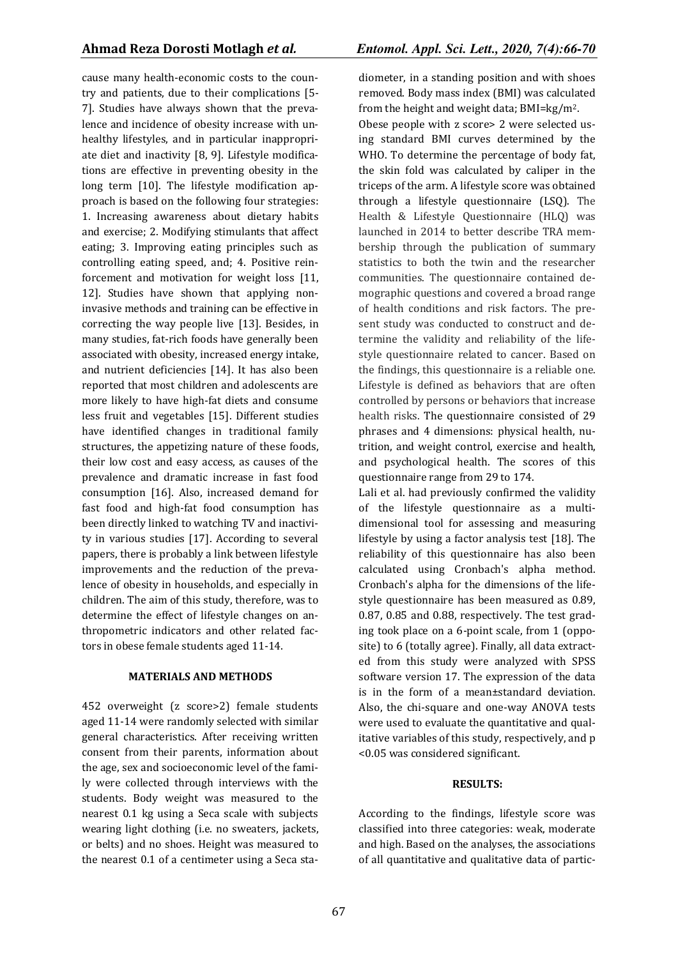cause many health-economic costs to the country and patients, due to their complications [5- 7]. Studies have always shown that the prevalence and incidence of obesity increase with unhealthy lifestyles, and in particular inappropriate diet and inactivity [8, 9]. Lifestyle modifications are effective in preventing obesity in the long term [10]. The lifestyle modification approach is based on the following four strategies: 1. Increasing awareness about dietary habits and exercise; 2. Modifying stimulants that affect eating; 3. Improving eating principles such as controlling eating speed, and; 4. Positive reinforcement and motivation for weight loss [11, 12]. Studies have shown that applying noninvasive methods and training can be effective in correcting the way people live [13]. Besides, in many studies, fat-rich foods have generally been associated with obesity, increased energy intake, and nutrient deficiencies [14]. It has also been reported that most children and adolescents are more likely to have high-fat diets and consume less fruit and vegetables [15]. Different studies have identified changes in traditional family structures, the appetizing nature of these foods, their low cost and easy access, as causes of the prevalence and dramatic increase in fast food consumption [16]. Also, increased demand for fast food and high-fat food consumption has been directly linked to watching TV and inactivity in various studies [17]. According to several papers, there is probably a link between lifestyle improvements and the reduction of the prevalence of obesity in households, and especially in children. The aim of this study, therefore, was to determine the effect of lifestyle changes on anthropometric indicators and other related factors in obese female students aged 11-14.

#### **MATERIALS AND METHODS**

452 overweight (z score>2) female students aged 11-14 were randomly selected with similar general characteristics. After receiving written consent from their parents, information about the age, sex and socioeconomic level of the family were collected through interviews with the students. Body weight was measured to the nearest 0.1 kg using a Seca scale with subjects wearing light clothing (i.e. no sweaters, jackets, or belts) and no shoes. Height was measured to the nearest 0.1 of a centimeter using a Seca stadiometer, in a standing position and with shoes removed. Body mass index (BMI) was calculated from the height and weight data; BMI=kg/m2.

Obese people with z score> 2 were selected using standard BMI curves determined by the WHO. To determine the percentage of body fat, the skin fold was calculated by caliper in the triceps of the arm. A lifestyle score was obtained through a lifestyle questionnaire (LSQ). The Health & Lifestyle Questionnaire (HLQ) was launched in 2014 to better describe TRA membership through the publication of summary statistics to both the twin and the researcher communities. The questionnaire contained demographic questions and covered a broad range of health conditions and risk factors. The present study was conducted to construct and determine the validity and reliability of the lifestyle questionnaire related to cancer. Based on the findings, this questionnaire is a reliable one. Lifestyle is defined as behaviors that are often controlled by persons or behaviors that increase health risks. The questionnaire consisted of 29 phrases and 4 dimensions: physical health, nutrition, and weight control, exercise and health, and psychological health. The scores of this questionnaire range from 29 to 174.

Lali et al. had previously confirmed the validity of the lifestyle questionnaire as a multidimensional tool for assessing and measuring lifestyle by using a factor analysis test [18]. The reliability of this questionnaire has also been calculated using Cronbach's alpha method. Cronbach's alpha for the dimensions of the lifestyle questionnaire has been measured as 0.89, 0.87, 0.85 and 0.88, respectively. The test grading took place on a 6-point scale, from 1 (opposite) to 6 (totally agree). Finally, all data extracted from this study were analyzed with SPSS software version 17. The expression of the data is in the form of a mean±standard deviation. Also, the chi-square and one-way ANOVA tests were used to evaluate the quantitative and qualitative variables of this study, respectively, and p <0.05 was considered significant.

## **RESULTS:**

According to the findings, lifestyle score was classified into three categories: weak, moderate and high. Based on the analyses, the associations of all quantitative and qualitative data of partic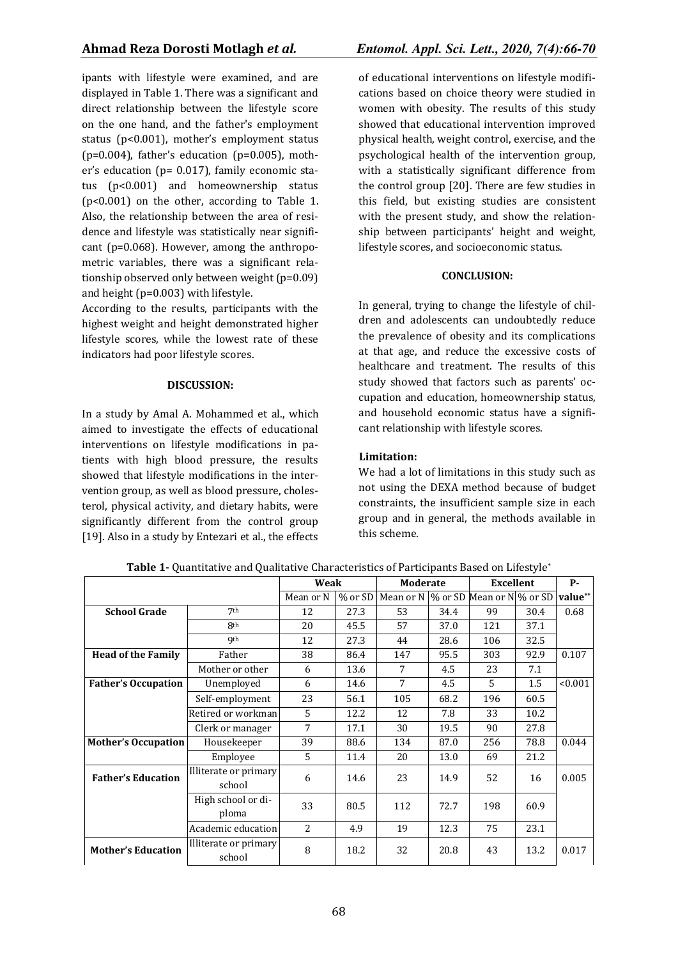ipants with lifestyle were examined, and are displayed in Table 1. There was a significant and direct relationship between the lifestyle score on the one hand, and the father's employment status (p<0.001), mother's employment status ( $p=0.004$ ), father's education ( $p=0.005$ ), mother's education (p= 0.017), family economic status (p<0.001) and homeownership status (p<0.001) on the other, according to Table 1. Also, the relationship between the area of residence and lifestyle was statistically near significant (p=0.068). However, among the anthropometric variables, there was a significant relationship observed only between weight (p=0.09) and height (p=0.003) with lifestyle.

According to the results, participants with the highest weight and height demonstrated higher lifestyle scores, while the lowest rate of these indicators had poor lifestyle scores.

## **DISCUSSION:**

In a study by Amal A. Mohammed et al., which aimed to investigate the effects of educational interventions on lifestyle modifications in patients with high blood pressure, the results showed that lifestyle modifications in the intervention group, as well as blood pressure, cholesterol, physical activity, and dietary habits, were significantly different from the control group [19]. Also in a study by Entezari et al., the effects of educational interventions on lifestyle modifications based on choice theory were studied in women with obesity. The results of this study showed that educational intervention improved physical health, weight control, exercise, and the psychological health of the intervention group, with a statistically significant difference from the control group [20]. There are few studies in this field, but existing studies are consistent with the present study, and show the relationship between participants' height and weight, lifestyle scores, and socioeconomic status.

## **CONCLUSION:**

In general, trying to change the lifestyle of children and adolescents can undoubtedly reduce the prevalence of obesity and its complications at that age, and reduce the excessive costs of healthcare and treatment. The results of this study showed that factors such as parents' occupation and education, homeownership status, and household economic status have a significant relationship with lifestyle scores.

## **Limitation:**

We had a lot of limitations in this study such as not using the DEXA method because of budget constraints, the insufficient sample size in each group and in general, the methods available in this scheme.

|                            |                                 | Weak      |      | <b>Moderate</b>                                   |      | <b>Excellent</b> |      | <b>P-</b> |
|----------------------------|---------------------------------|-----------|------|---------------------------------------------------|------|------------------|------|-----------|
|                            |                                 | Mean or N |      | % or SD   Mean or N   % or SD   Mean or N % or SD |      |                  |      | value**   |
| <b>School Grade</b>        | 7 <sup>th</sup>                 | 12        | 27.3 | 53                                                | 34.4 | 99               | 30.4 | 0.68      |
|                            | <b>8th</b>                      | 20        | 45.5 | 57                                                | 37.0 | 121              | 37.1 |           |
|                            | <b>9th</b>                      | 12        | 27.3 | 44                                                | 28.6 | 106              | 32.5 |           |
| <b>Head of the Family</b>  | Father                          | 38        | 86.4 | 147                                               | 95.5 | 303              | 92.9 | 0.107     |
|                            | Mother or other                 | 6         | 13.6 | 7                                                 | 4.5  | 23               | 7.1  |           |
| <b>Father's Occupation</b> | Unemployed                      | 6         | 14.6 | 7                                                 | 4.5  | 5                | 1.5  | < 0.001   |
|                            | Self-employment                 | 23        | 56.1 | 105                                               | 68.2 | 196              | 60.5 |           |
|                            | Retired or workman              | 5         | 12.2 | 12                                                | 7.8  | 33               | 10.2 |           |
|                            | Clerk or manager                | 7         | 17.1 | 30                                                | 19.5 | 90               | 27.8 |           |
| <b>Mother's Occupation</b> | Housekeeper                     | 39        | 88.6 | 134                                               | 87.0 | 256              | 78.8 | 0.044     |
|                            | Employee                        | 5         | 11.4 | 20                                                | 13.0 | 69               | 21.2 |           |
| <b>Father's Education</b>  | Illiterate or primary<br>school | 6         | 14.6 | 23                                                | 14.9 | 52               | 16   | 0.005     |
|                            | High school or di-<br>ploma     | 33        | 80.5 | 112                                               | 72.7 | 198              | 60.9 |           |
|                            | Academic education              | 2         | 4.9  | 19                                                | 12.3 | 75               | 23.1 |           |
| <b>Mother's Education</b>  | Illiterate or primary<br>school | 8         | 18.2 | 32                                                | 20.8 | 43               | 13.2 | 0.017     |

**Table 1-** Quantitative and Qualitative Characteristics of Participants Based on Lifestyle\*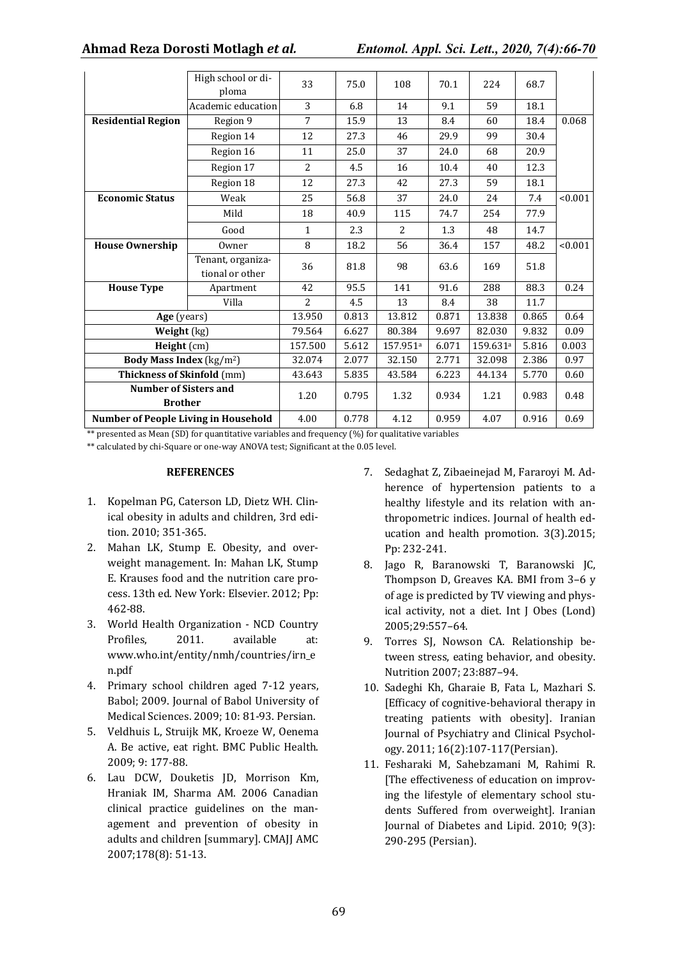|                                                | High school or di-                   | 33             | 75.0  | 108      | 70.1  | 224                  | 68.7  |         |
|------------------------------------------------|--------------------------------------|----------------|-------|----------|-------|----------------------|-------|---------|
|                                                | ploma                                |                |       |          |       |                      |       |         |
|                                                | Academic education                   | 3              | 6.8   | 14       | 9.1   | 59                   | 18.1  |         |
| <b>Residential Region</b>                      | Region 9                             | $\overline{7}$ | 15.9  | 13       | 8.4   | 60                   | 18.4  | 0.068   |
|                                                | Region 14                            | 12             | 27.3  | 46       | 29.9  | 99                   | 30.4  |         |
|                                                | Region 16                            | 11             | 25.0  | 37       | 24.0  | 68                   | 20.9  |         |
|                                                | Region 17                            | $\overline{2}$ | 4.5   | 16       | 10.4  | 40                   | 12.3  |         |
|                                                | Region 18                            | 12             | 27.3  | 42       | 27.3  | 59                   | 18.1  |         |
| <b>Economic Status</b>                         | Weak                                 | 25             | 56.8  | 37       | 24.0  | 24                   | 7.4   | < 0.001 |
|                                                | Mild                                 | 18             | 40.9  | 115      | 74.7  | 254                  | 77.9  |         |
|                                                | Good                                 | $\mathbf{1}$   | 2.3   | 2        | 1.3   | 48                   | 14.7  |         |
| <b>House Ownership</b>                         | Owner                                | 8              | 18.2  | 56       | 36.4  | 157                  | 48.2  | < 0.001 |
|                                                | Tenant, organiza-<br>tional or other | 36             | 81.8  | 98       | 63.6  | 169                  | 51.8  |         |
| <b>House Type</b>                              | Apartment                            | 42             | 95.5  | 141      | 91.6  | 288                  | 88.3  | 0.24    |
|                                                | Villa                                | $\overline{2}$ | 4.5   | 13       | 8.4   | 38                   | 11.7  |         |
| Age (years)                                    |                                      | 13.950         | 0.813 | 13.812   | 0.871 | 13.838               | 0.865 | 0.64    |
| Weight (kg)                                    |                                      | 79.564         | 6.627 | 80.384   | 9.697 | 82.030               | 9.832 | 0.09    |
| Height (cm)                                    |                                      | 157.500        | 5.612 | 157.951ª | 6.071 | 159.631 <sup>a</sup> | 5.816 | 0.003   |
| <b>Body Mass Index (kg/m<sup>2</sup>)</b>      |                                      | 32.074         | 2.077 | 32.150   | 2.771 | 32.098               | 2.386 | 0.97    |
| <b>Thickness of Skinfold</b> (mm)              |                                      | 43.643         | 5.835 | 43.584   | 6.223 | 44.134               | 5.770 | 0.60    |
| <b>Number of Sisters and</b><br><b>Brother</b> |                                      | 1.20           | 0.795 | 1.32     | 0.934 | 1.21                 | 0.983 | 0.48    |
| <b>Number of People Living in Household</b>    |                                      | 4.00           | 0.778 | 4.12     | 0.959 | 4.07                 | 0.916 | 0.69    |

\*\* presented as Mean (SD) for quantitative variables and frequency  $(\%)$  for qualitative variables

\*\* calculated by chi-Square or one-way ANOVA test; Significant at the 0.05 level.

#### **REFERENCES**

- 1. Kopelman PG, Caterson LD, Dietz WH. Clinical obesity in adults and children, 3rd edition. 2010; 351-365.
- 2. Mahan LK, Stump E. Obesity, and overweight management. In: Mahan LK, Stump E. Krauses food and the nutrition care process. 13th ed. New York: Elsevier. 2012; Pp: 462-88.
- 3. World Health Organization NCD Country Profiles, 2011. available at: www.who.int/entity/nmh/countries/irn\_e n.pdf
- 4. Primary school children aged 7-12 years, Babol; 2009. Journal of Babol University of Medical Sciences. 2009; 10: 81-93. Persian.
- 5. Veldhuis L, Struijk MK, Kroeze W, Oenema A. Be active, eat right. BMC Public Health. 2009; 9: 177-88.
- 6. Lau DCW, Douketis JD, Morrison Km, Hraniak IM, Sharma AM. 2006 Canadian clinical practice guidelines on the management and prevention of obesity in adults and children [summary]. CMAJJ AMC 2007;178(8): 51-13.
- 7. Sedaghat Z, Zibaeinejad M, Fararoyi M. Adherence of hypertension patients to a healthy lifestyle and its relation with anthropometric indices. Journal of health education and health promotion. 3(3).2015; Pp: 232-241.
- 8. Jago R, Baranowski T, Baranowski JC, Thompson D, Greaves KA. BMI from 3–6 y of age is predicted by TV viewing and physical activity, not a diet. Int J Obes (Lond) 2005;29:557–64.
- 9. Torres SJ, Nowson CA. Relationship between stress, eating behavior, and obesity. Nutrition 2007; 23:887–94.
- 10. Sadeghi Kh, Gharaie B, Fata L, Mazhari S. [Efficacy of cognitive-behavioral therapy in treating patients with obesity]. Iranian Journal of Psychiatry and Clinical Psychology. 2011; 16(2):107-117(Persian).
- 11. Fesharaki M, Sahebzamani M, Rahimi R. [The effectiveness of education on improving the lifestyle of elementary school students Suffered from overweight]. Iranian Journal of Diabetes and Lipid. 2010; 9(3): 290-295 (Persian).